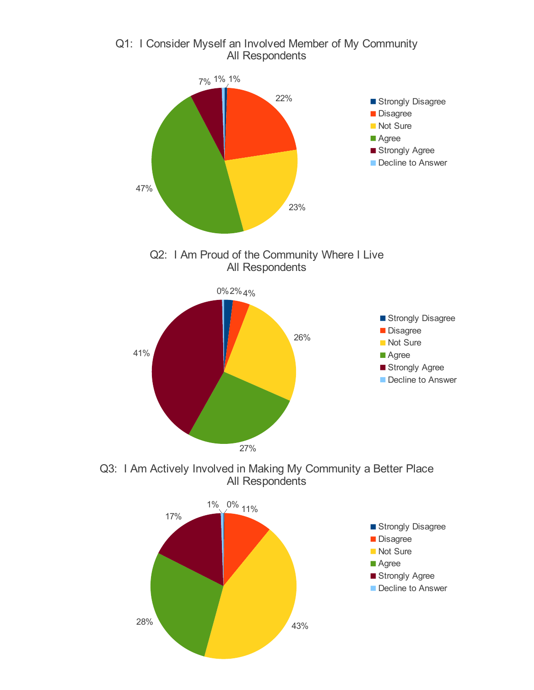

Q1: I Consider Myself an Involved Member of My Community All Respondents

Q3: I Am Actively Involved in Making My Community a Better Place All Respondents

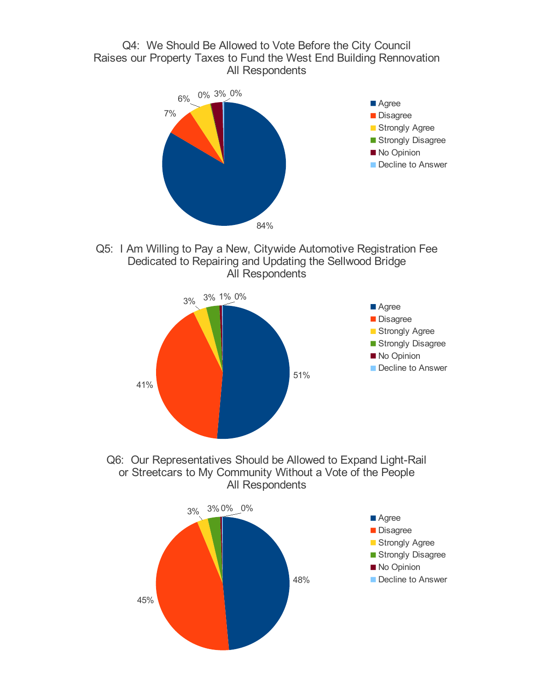## Q4: We Should Be Allowed to Vote Before the City Council Raises our Property Taxes to Fund the West End Building Rennovation All Respondents



Q5: I Am Willing to Pay a New, Citywide Automotive Registration Fee Dedicated to Repairing and Updating the Sellwood Bridge All Respondents





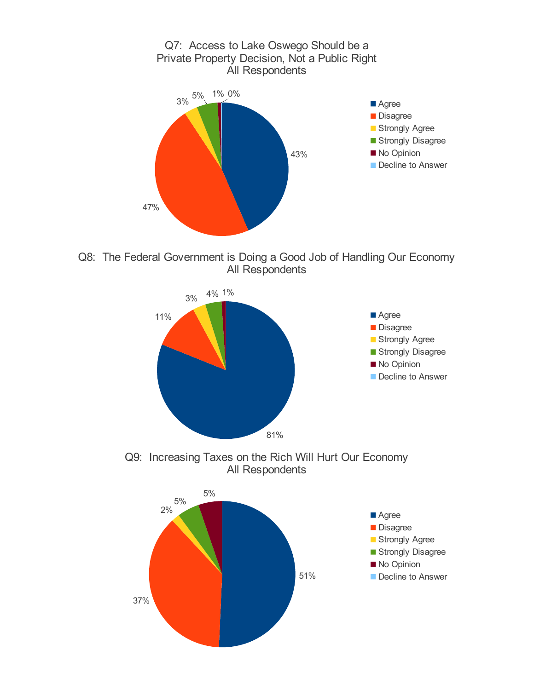

Q8: The Federal Government is Doing a Good Job of Handling Our Economy All Respondents





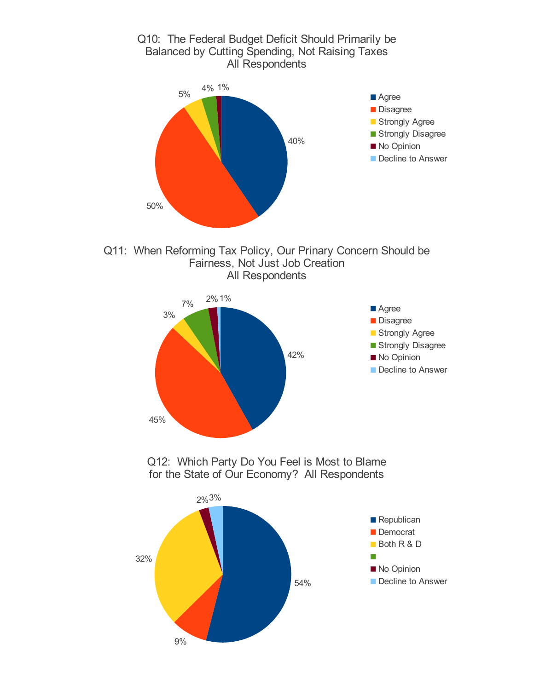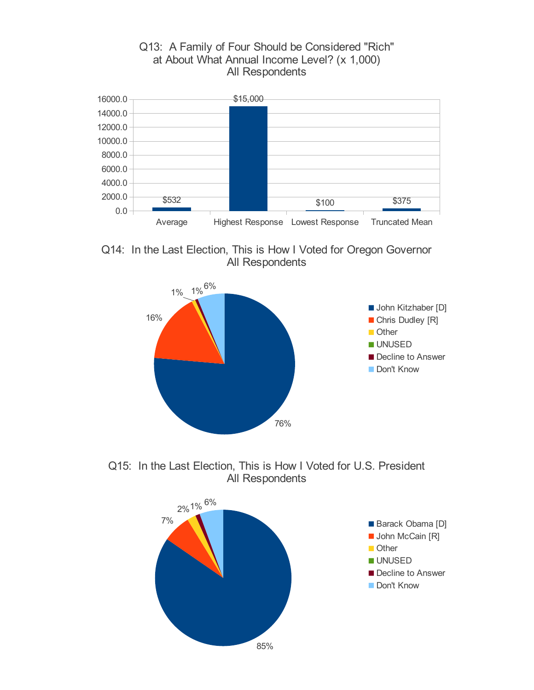## Q13: A Family of Four Should be Considered "Rich" at About What Annual Income Level? (x 1,000) All Respondents



Q14: In the Last Election, This is How I Voted for Oregon Governor All Respondents